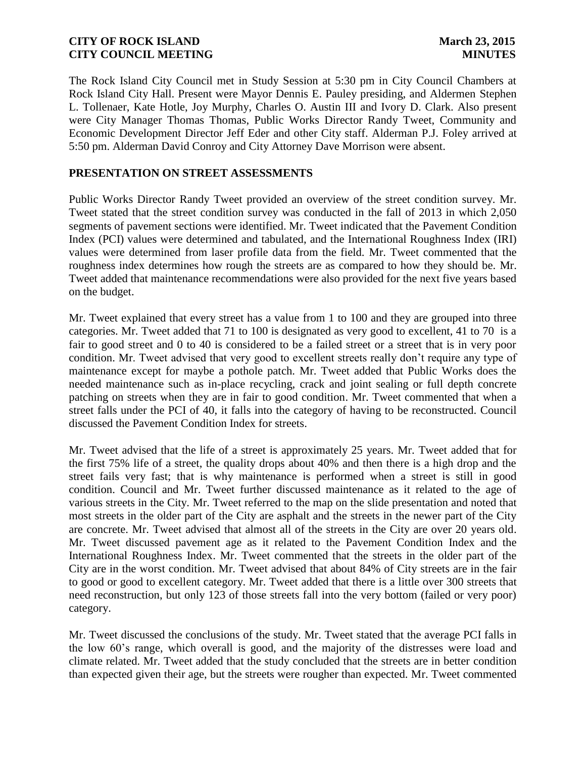The Rock Island City Council met in Study Session at 5:30 pm in City Council Chambers at Rock Island City Hall. Present were Mayor Dennis E. Pauley presiding, and Aldermen Stephen L. Tollenaer, Kate Hotle, Joy Murphy, Charles O. Austin III and Ivory D. Clark. Also present were City Manager Thomas Thomas, Public Works Director Randy Tweet, Community and Economic Development Director Jeff Eder and other City staff. Alderman P.J. Foley arrived at 5:50 pm. Alderman David Conroy and City Attorney Dave Morrison were absent.

### **PRESENTATION ON STREET ASSESSMENTS**

Public Works Director Randy Tweet provided an overview of the street condition survey. Mr. Tweet stated that the street condition survey was conducted in the fall of 2013 in which 2,050 segments of pavement sections were identified. Mr. Tweet indicated that the Pavement Condition Index (PCI) values were determined and tabulated, and the International Roughness Index (IRI) values were determined from laser profile data from the field. Mr. Tweet commented that the roughness index determines how rough the streets are as compared to how they should be. Mr. Tweet added that maintenance recommendations were also provided for the next five years based on the budget.

Mr. Tweet explained that every street has a value from 1 to 100 and they are grouped into three categories. Mr. Tweet added that 71 to 100 is designated as very good to excellent, 41 to 70 is a fair to good street and 0 to 40 is considered to be a failed street or a street that is in very poor condition. Mr. Tweet advised that very good to excellent streets really don't require any type of maintenance except for maybe a pothole patch. Mr. Tweet added that Public Works does the needed maintenance such as in-place recycling, crack and joint sealing or full depth concrete patching on streets when they are in fair to good condition. Mr. Tweet commented that when a street falls under the PCI of 40, it falls into the category of having to be reconstructed. Council discussed the Pavement Condition Index for streets.

Mr. Tweet advised that the life of a street is approximately 25 years. Mr. Tweet added that for the first 75% life of a street, the quality drops about 40% and then there is a high drop and the street fails very fast; that is why maintenance is performed when a street is still in good condition. Council and Mr. Tweet further discussed maintenance as it related to the age of various streets in the City. Mr. Tweet referred to the map on the slide presentation and noted that most streets in the older part of the City are asphalt and the streets in the newer part of the City are concrete. Mr. Tweet advised that almost all of the streets in the City are over 20 years old. Mr. Tweet discussed pavement age as it related to the Pavement Condition Index and the International Roughness Index. Mr. Tweet commented that the streets in the older part of the City are in the worst condition. Mr. Tweet advised that about 84% of City streets are in the fair to good or good to excellent category. Mr. Tweet added that there is a little over 300 streets that need reconstruction, but only 123 of those streets fall into the very bottom (failed or very poor) category.

Mr. Tweet discussed the conclusions of the study. Mr. Tweet stated that the average PCI falls in the low 60's range, which overall is good, and the majority of the distresses were load and climate related. Mr. Tweet added that the study concluded that the streets are in better condition than expected given their age, but the streets were rougher than expected. Mr. Tweet commented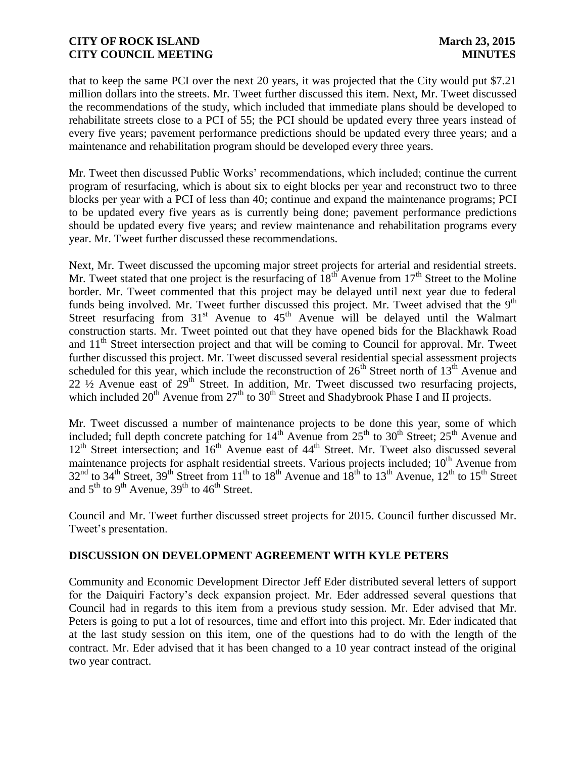that to keep the same PCI over the next 20 years, it was projected that the City would put \$7.21 million dollars into the streets. Mr. Tweet further discussed this item. Next, Mr. Tweet discussed the recommendations of the study, which included that immediate plans should be developed to rehabilitate streets close to a PCI of 55; the PCI should be updated every three years instead of every five years; pavement performance predictions should be updated every three years; and a maintenance and rehabilitation program should be developed every three years.

Mr. Tweet then discussed Public Works' recommendations, which included; continue the current program of resurfacing, which is about six to eight blocks per year and reconstruct two to three blocks per year with a PCI of less than 40; continue and expand the maintenance programs; PCI to be updated every five years as is currently being done; pavement performance predictions should be updated every five years; and review maintenance and rehabilitation programs every year. Mr. Tweet further discussed these recommendations.

Next, Mr. Tweet discussed the upcoming major street projects for arterial and residential streets. Mr. Tweet stated that one project is the resurfacing of  $18<sup>th</sup>$  Avenue from  $17<sup>th</sup>$  Street to the Moline border. Mr. Tweet commented that this project may be delayed until next year due to federal funds being involved. Mr. Tweet further discussed this project. Mr. Tweet advised that the  $9<sup>th</sup>$ Street resurfacing from  $31<sup>st</sup>$  Avenue to  $45<sup>th</sup>$  Avenue will be delayed until the Walmart construction starts. Mr. Tweet pointed out that they have opened bids for the Blackhawk Road and 11<sup>th</sup> Street intersection project and that will be coming to Council for approval. Mr. Tweet further discussed this project. Mr. Tweet discussed several residential special assessment projects scheduled for this year, which include the reconstruction of  $26<sup>th</sup>$  Street north of  $13<sup>th</sup>$  Avenue and 22  $\frac{1}{2}$  Avenue east of 29<sup>th</sup> Street. In addition, Mr. Tweet discussed two resurfacing projects, which included  $20^{th}$  Avenue from  $27^{th}$  to  $30^{th}$  Street and Shadybrook Phase I and II projects.

Mr. Tweet discussed a number of maintenance projects to be done this year, some of which included; full depth concrete patching for  $14<sup>th</sup>$  Avenue from  $25<sup>th</sup>$  to  $30<sup>th</sup>$  Street;  $25<sup>th</sup>$  Avenue and  $12<sup>th</sup>$  Street intersection; and  $16<sup>th</sup>$  Avenue east of  $44<sup>th</sup>$  Street. Mr. Tweet also discussed several maintenance projects for asphalt residential streets. Various projects included; 10<sup>th</sup> Avenue from  $32<sup>nd</sup>$  to  $34<sup>th</sup>$  Street,  $39<sup>th</sup>$  Street from  $11<sup>th</sup>$  to  $18<sup>th</sup>$  Avenue and  $18<sup>th</sup>$  to  $13<sup>th</sup>$  Avenue,  $12<sup>th</sup>$  to  $15<sup>th</sup>$  Street and  $5^{th}$  to  $9^{th}$  Avenue,  $39^{th}$  to  $46^{th}$  Street.

Council and Mr. Tweet further discussed street projects for 2015. Council further discussed Mr. Tweet's presentation.

# **DISCUSSION ON DEVELOPMENT AGREEMENT WITH KYLE PETERS**

Community and Economic Development Director Jeff Eder distributed several letters of support for the Daiquiri Factory's deck expansion project. Mr. Eder addressed several questions that Council had in regards to this item from a previous study session. Mr. Eder advised that Mr. Peters is going to put a lot of resources, time and effort into this project. Mr. Eder indicated that at the last study session on this item, one of the questions had to do with the length of the contract. Mr. Eder advised that it has been changed to a 10 year contract instead of the original two year contract.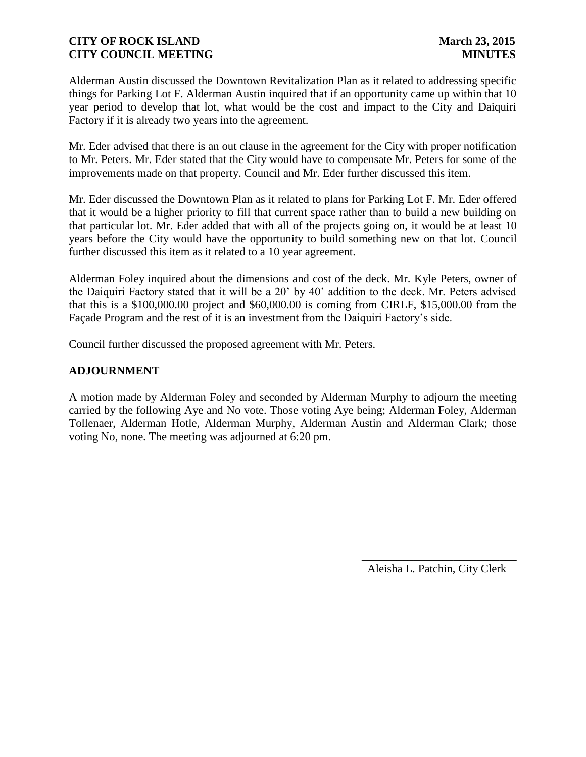Alderman Austin discussed the Downtown Revitalization Plan as it related to addressing specific things for Parking Lot F. Alderman Austin inquired that if an opportunity came up within that 10 year period to develop that lot, what would be the cost and impact to the City and Daiquiri Factory if it is already two years into the agreement.

Mr. Eder advised that there is an out clause in the agreement for the City with proper notification to Mr. Peters. Mr. Eder stated that the City would have to compensate Mr. Peters for some of the improvements made on that property. Council and Mr. Eder further discussed this item.

Mr. Eder discussed the Downtown Plan as it related to plans for Parking Lot F. Mr. Eder offered that it would be a higher priority to fill that current space rather than to build a new building on that particular lot. Mr. Eder added that with all of the projects going on, it would be at least 10 years before the City would have the opportunity to build something new on that lot. Council further discussed this item as it related to a 10 year agreement.

Alderman Foley inquired about the dimensions and cost of the deck. Mr. Kyle Peters, owner of the Daiquiri Factory stated that it will be a 20' by 40' addition to the deck. Mr. Peters advised that this is a \$100,000.00 project and \$60,000.00 is coming from CIRLF, \$15,000.00 from the Façade Program and the rest of it is an investment from the Daiquiri Factory's side.

Council further discussed the proposed agreement with Mr. Peters.

# **ADJOURNMENT**

A motion made by Alderman Foley and seconded by Alderman Murphy to adjourn the meeting carried by the following Aye and No vote. Those voting Aye being; Alderman Foley, Alderman Tollenaer, Alderman Hotle, Alderman Murphy, Alderman Austin and Alderman Clark; those voting No, none. The meeting was adjourned at 6:20 pm.

Aleisha L. Patchin, City Clerk

 $\frac{1}{2}$  ,  $\frac{1}{2}$  ,  $\frac{1}{2}$  ,  $\frac{1}{2}$  ,  $\frac{1}{2}$  ,  $\frac{1}{2}$  ,  $\frac{1}{2}$  ,  $\frac{1}{2}$  ,  $\frac{1}{2}$  ,  $\frac{1}{2}$  ,  $\frac{1}{2}$  ,  $\frac{1}{2}$  ,  $\frac{1}{2}$  ,  $\frac{1}{2}$  ,  $\frac{1}{2}$  ,  $\frac{1}{2}$  ,  $\frac{1}{2}$  ,  $\frac{1}{2}$  ,  $\frac{1$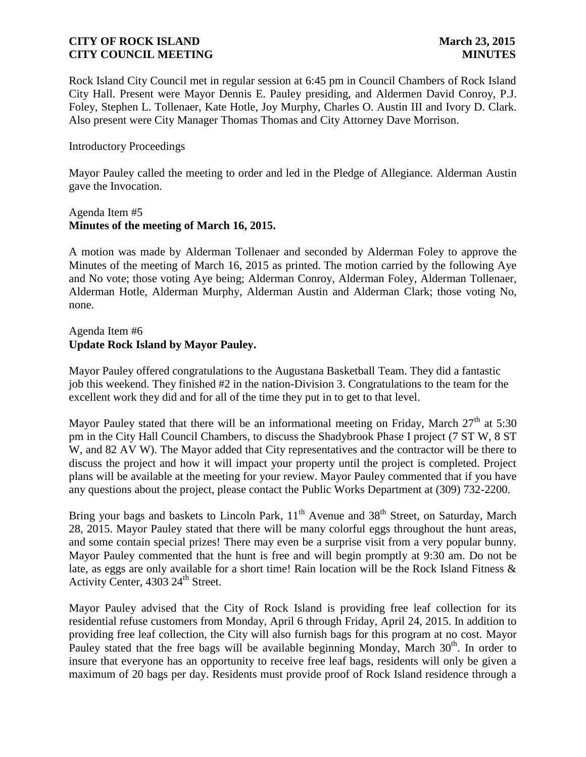Rock Island City Council met in regular session at 6:45 pm in Council Chambers of Rock Island City Hall. Present were Mayor Dennis E. Pauley presiding, and Aldermen David Conroy, P.J. Foley, Stephen L. Tollenaer, Kate Hotle, Joy Murphy, Charles O. Austin III and Ivory D. Clark. Also present were City Manager Thomas Thomas and City Attorney Dave Morrison.

### Introductory Proceedings

Mayor Pauley called the meeting to order and led in the Pledge of Allegiance. Alderman Austin gave the Invocation.

### Agenda Item #5 **Minutes of the meeting of March 16, 2015.**

A motion was made by Alderman Tollenaer and seconded by Alderman Foley to approve the Minutes of the meeting of March 16, 2015 as printed. The motion carried by the following Aye and No vote; those voting Aye being; Alderman Conroy, Alderman Foley, Alderman Tollenaer, Alderman Hotle, Alderman Murphy, Alderman Austin and Alderman Clark; those voting No, none.

# Agenda Item #6 **Update Rock Island by Mayor Pauley.**

Mayor Pauley offered congratulations to the Augustana Basketball Team. They did a fantastic job this weekend. They finished #2 in the nation-Division 3. Congratulations to the team for the excellent work they did and for all of the time they put in to get to that level.

Mayor Pauley stated that there will be an informational meeting on Friday, March  $27<sup>th</sup>$  at 5:30 pm in the City Hall Council Chambers, to discuss the Shadybrook Phase I project (7 ST W, 8 ST W, and 82 AV W). The Mayor added that City representatives and the contractor will be there to discuss the project and how it will impact your property until the project is completed. Project plans will be available at the meeting for your review. Mayor Pauley commented that if you have any questions about the project, please contact the Public Works Department at (309) 732-2200.

Bring your bags and baskets to Lincoln Park,  $11<sup>th</sup>$  Avenue and  $38<sup>th</sup>$  Street, on Saturday, March 28, 2015. Mayor Pauley stated that there will be many colorful eggs throughout the hunt areas, and some contain special prizes! There may even be a surprise visit from a very popular bunny. Mayor Pauley commented that the hunt is free and will begin promptly at 9:30 am. Do not be late, as eggs are only available for a short time! Rain location will be the Rock Island Fitness & Activity Center, 4303 24<sup>th</sup> Street.

Mayor Pauley advised that the City of Rock Island is providing free leaf collection for its residential refuse customers from Monday, April 6 through Friday, April 24, 2015. In addition to providing free leaf collection, the City will also furnish bags for this program at no cost. Mayor Pauley stated that the free bags will be available beginning Monday, March 30<sup>th</sup>. In order to insure that everyone has an opportunity to receive free leaf bags, residents will only be given a maximum of 20 bags per day. Residents must provide proof of Rock Island residence through a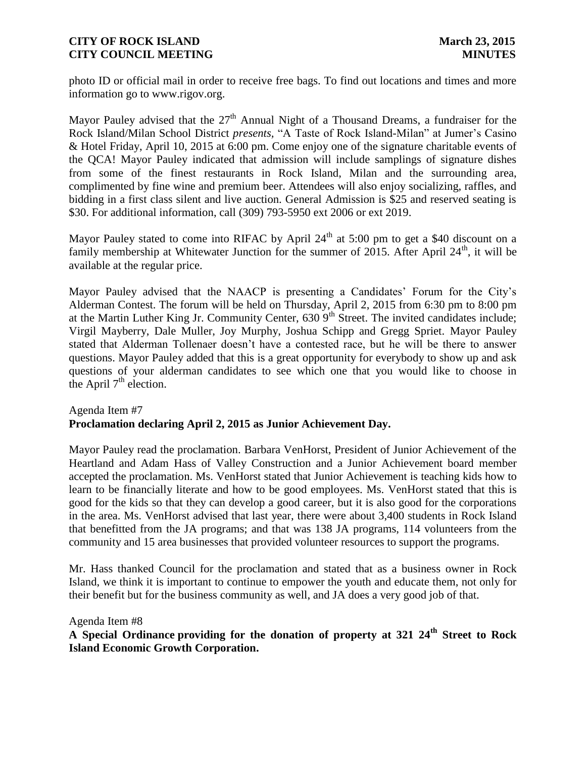photo ID or official mail in order to receive free bags. To find out locations and times and more information go to www.rigov.org.

Mayor Pauley advised that the  $27<sup>th</sup>$  Annual Night of a Thousand Dreams, a fundraiser for the Rock Island/Milan School District *presents,* "A Taste of Rock Island-Milan" at Jumer's Casino & Hotel Friday, April 10, 2015 at 6:00 pm. Come enjoy one of the signature charitable events of the QCA! Mayor Pauley indicated that admission will include samplings of signature dishes from some of the finest restaurants in Rock Island, Milan and the surrounding area, complimented by fine wine and premium beer. Attendees will also enjoy socializing, raffles, and bidding in a first class silent and live auction. General Admission is \$25 and reserved seating is \$30. For additional information, call (309) 793-5950 ext 2006 or ext 2019.

Mayor Pauley stated to come into RIFAC by April  $24<sup>th</sup>$  at 5:00 pm to get a \$40 discount on a family membership at Whitewater Junction for the summer of 2015. After April  $24<sup>th</sup>$ , it will be available at the regular price.

Mayor Pauley advised that the NAACP is presenting a Candidates' Forum for the City's Alderman Contest. The forum will be held on Thursday, April 2, 2015 from 6:30 pm to 8:00 pm at the Martin Luther King Jr. Community Center, 630 9<sup>th</sup> Street. The invited candidates include; Virgil Mayberry, Dale Muller, Joy Murphy, Joshua Schipp and Gregg Spriet. Mayor Pauley stated that Alderman Tollenaer doesn't have a contested race, but he will be there to answer questions. Mayor Pauley added that this is a great opportunity for everybody to show up and ask questions of your alderman candidates to see which one that you would like to choose in the April  $7<sup>th</sup>$  election.

### Agenda Item #7 **Proclamation declaring April 2, 2015 as Junior Achievement Day.**

Mayor Pauley read the proclamation. Barbara VenHorst, President of Junior Achievement of the Heartland and Adam Hass of Valley Construction and a Junior Achievement board member accepted the proclamation. Ms. VenHorst stated that Junior Achievement is teaching kids how to learn to be financially literate and how to be good employees. Ms. VenHorst stated that this is good for the kids so that they can develop a good career, but it is also good for the corporations in the area. Ms. VenHorst advised that last year, there were about 3,400 students in Rock Island that benefitted from the JA programs; and that was 138 JA programs, 114 volunteers from the community and 15 area businesses that provided volunteer resources to support the programs.

Mr. Hass thanked Council for the proclamation and stated that as a business owner in Rock Island, we think it is important to continue to empower the youth and educate them, not only for their benefit but for the business community as well, and JA does a very good job of that.

### Agenda Item #8

# **A Special Ordinance providing for the donation of property at 321 24th Street to Rock Island Economic Growth Corporation.**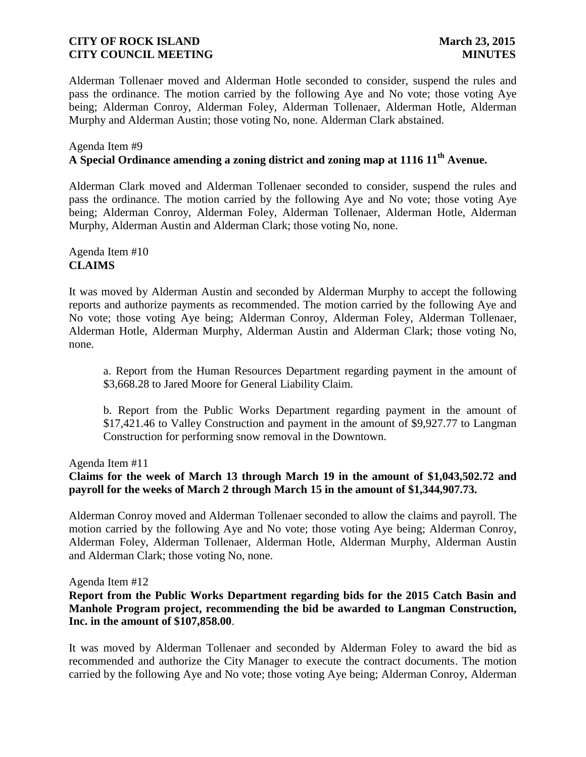Alderman Tollenaer moved and Alderman Hotle seconded to consider, suspend the rules and pass the ordinance. The motion carried by the following Aye and No vote; those voting Aye being; Alderman Conroy, Alderman Foley, Alderman Tollenaer, Alderman Hotle, Alderman Murphy and Alderman Austin; those voting No, none. Alderman Clark abstained.

# Agenda Item #9 **A Special Ordinance amending a zoning district and zoning map at 1116 11th Avenue.**

Alderman Clark moved and Alderman Tollenaer seconded to consider, suspend the rules and pass the ordinance. The motion carried by the following Aye and No vote; those voting Aye being; Alderman Conroy, Alderman Foley, Alderman Tollenaer, Alderman Hotle, Alderman Murphy, Alderman Austin and Alderman Clark; those voting No, none.

Agenda Item #10 **CLAIMS**

It was moved by Alderman Austin and seconded by Alderman Murphy to accept the following reports and authorize payments as recommended. The motion carried by the following Aye and No vote; those voting Aye being; Alderman Conroy, Alderman Foley, Alderman Tollenaer, Alderman Hotle, Alderman Murphy, Alderman Austin and Alderman Clark; those voting No, none.

a. Report from the Human Resources Department regarding payment in the amount of \$3,668.28 to Jared Moore for General Liability Claim.

b. Report from the Public Works Department regarding payment in the amount of \$17,421.46 to Valley Construction and payment in the amount of \$9,927.77 to Langman Construction for performing snow removal in the Downtown.

Agenda Item #11

# **Claims for the week of March 13 through March 19 in the amount of \$1,043,502.72 and payroll for the weeks of March 2 through March 15 in the amount of \$1,344,907.73.**

Alderman Conroy moved and Alderman Tollenaer seconded to allow the claims and payroll. The motion carried by the following Aye and No vote; those voting Aye being; Alderman Conroy, Alderman Foley, Alderman Tollenaer, Alderman Hotle, Alderman Murphy, Alderman Austin and Alderman Clark; those voting No, none.

Agenda Item #12

## **Report from the Public Works Department regarding bids for the 2015 Catch Basin and Manhole Program project, recommending the bid be awarded to Langman Construction, Inc. in the amount of \$107,858.00**.

It was moved by Alderman Tollenaer and seconded by Alderman Foley to award the bid as recommended and authorize the City Manager to execute the contract documents. The motion carried by the following Aye and No vote; those voting Aye being; Alderman Conroy, Alderman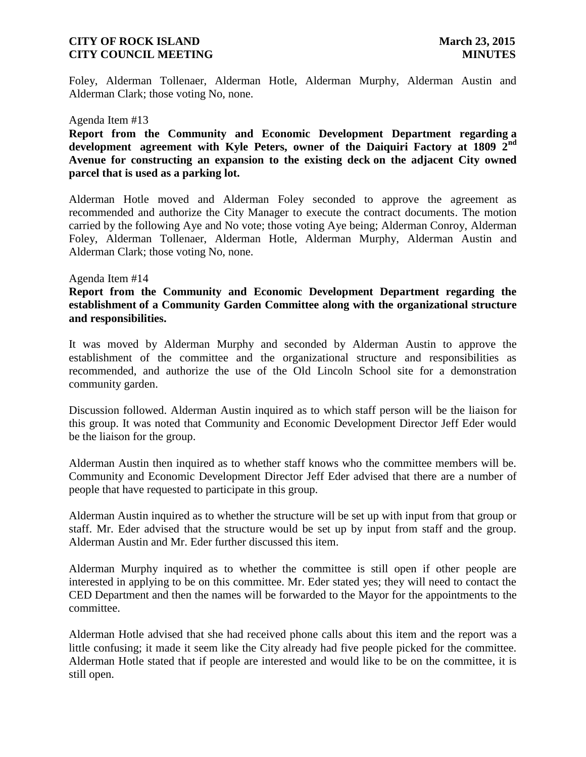Foley, Alderman Tollenaer, Alderman Hotle, Alderman Murphy, Alderman Austin and Alderman Clark; those voting No, none.

#### Agenda Item #13

**Report from the Community and Economic Development Department regarding a development agreement with Kyle Peters, owner of the Daiquiri Factory at 1809 2nd Avenue for constructing an expansion to the existing deck on the adjacent City owned parcel that is used as a parking lot.**

Alderman Hotle moved and Alderman Foley seconded to approve the agreement as recommended and authorize the City Manager to execute the contract documents. The motion carried by the following Aye and No vote; those voting Aye being; Alderman Conroy, Alderman Foley, Alderman Tollenaer, Alderman Hotle, Alderman Murphy, Alderman Austin and Alderman Clark; those voting No, none.

### Agenda Item #14

**Report from the Community and Economic Development Department regarding the establishment of a Community Garden Committee along with the organizational structure and responsibilities.**

It was moved by Alderman Murphy and seconded by Alderman Austin to approve the establishment of the committee and the organizational structure and responsibilities as recommended, and authorize the use of the Old Lincoln School site for a demonstration community garden.

Discussion followed. Alderman Austin inquired as to which staff person will be the liaison for this group. It was noted that Community and Economic Development Director Jeff Eder would be the liaison for the group.

Alderman Austin then inquired as to whether staff knows who the committee members will be. Community and Economic Development Director Jeff Eder advised that there are a number of people that have requested to participate in this group.

Alderman Austin inquired as to whether the structure will be set up with input from that group or staff. Mr. Eder advised that the structure would be set up by input from staff and the group. Alderman Austin and Mr. Eder further discussed this item.

Alderman Murphy inquired as to whether the committee is still open if other people are interested in applying to be on this committee. Mr. Eder stated yes; they will need to contact the CED Department and then the names will be forwarded to the Mayor for the appointments to the committee.

Alderman Hotle advised that she had received phone calls about this item and the report was a little confusing; it made it seem like the City already had five people picked for the committee. Alderman Hotle stated that if people are interested and would like to be on the committee, it is still open.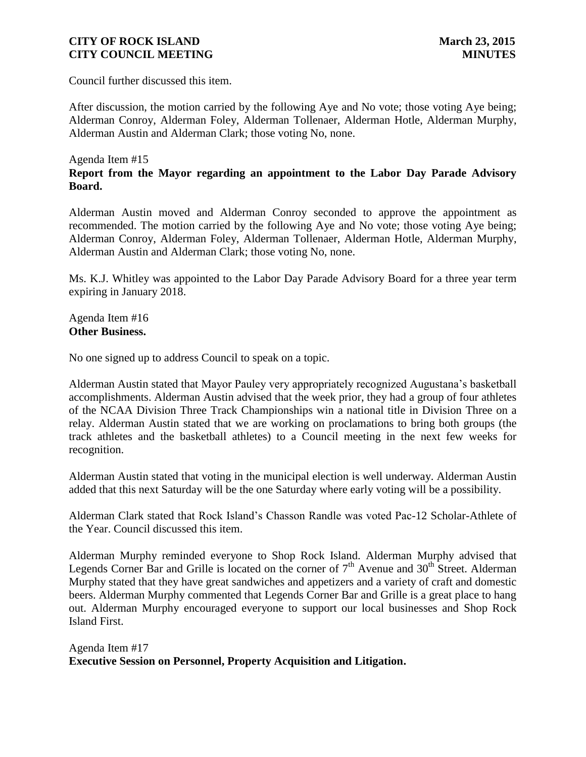Council further discussed this item.

After discussion, the motion carried by the following Aye and No vote; those voting Aye being; Alderman Conroy, Alderman Foley, Alderman Tollenaer, Alderman Hotle, Alderman Murphy, Alderman Austin and Alderman Clark; those voting No, none.

### Agenda Item #15 **Report from the Mayor regarding an appointment to the Labor Day Parade Advisory Board.**

Alderman Austin moved and Alderman Conroy seconded to approve the appointment as recommended. The motion carried by the following Aye and No vote; those voting Aye being; Alderman Conroy, Alderman Foley, Alderman Tollenaer, Alderman Hotle, Alderman Murphy, Alderman Austin and Alderman Clark; those voting No, none.

Ms. K.J. Whitley was appointed to the Labor Day Parade Advisory Board for a three year term expiring in January 2018.

Agenda Item #16 **Other Business.**

No one signed up to address Council to speak on a topic.

Alderman Austin stated that Mayor Pauley very appropriately recognized Augustana's basketball accomplishments. Alderman Austin advised that the week prior, they had a group of four athletes of the NCAA Division Three Track Championships win a national title in Division Three on a relay. Alderman Austin stated that we are working on proclamations to bring both groups (the track athletes and the basketball athletes) to a Council meeting in the next few weeks for recognition.

Alderman Austin stated that voting in the municipal election is well underway. Alderman Austin added that this next Saturday will be the one Saturday where early voting will be a possibility.

Alderman Clark stated that Rock Island's Chasson Randle was voted Pac-12 Scholar-Athlete of the Year. Council discussed this item.

Alderman Murphy reminded everyone to Shop Rock Island. Alderman Murphy advised that Legends Corner Bar and Grille is located on the corner of  $7<sup>th</sup>$  Avenue and  $30<sup>th</sup>$  Street. Alderman Murphy stated that they have great sandwiches and appetizers and a variety of craft and domestic beers. Alderman Murphy commented that Legends Corner Bar and Grille is a great place to hang out. Alderman Murphy encouraged everyone to support our local businesses and Shop Rock Island First.

Agenda Item #17 **Executive Session on Personnel, Property Acquisition and Litigation.**